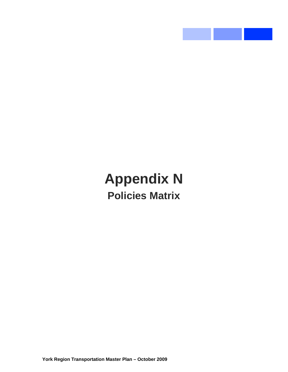## **Appendix N Policies Matrix**

and the state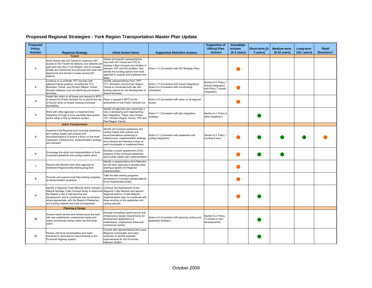## **Proposed Regional Strategies - York Region Transportation Master Plan Update**

| Proposed<br><b>Policy</b> |                                                                                                                                                                                                                                                                                                             |                                                                                                                                                                                                                                                            |                                                                                                             | <b>Supportive of</b><br><b>Official Plan</b>                                            | <b>Immediate</b><br><b>Actions</b> | Short-term (3- | <b>Medium-term</b>     | Long-term             | "Bold              |
|---------------------------|-------------------------------------------------------------------------------------------------------------------------------------------------------------------------------------------------------------------------------------------------------------------------------------------------------------|------------------------------------------------------------------------------------------------------------------------------------------------------------------------------------------------------------------------------------------------------------|-------------------------------------------------------------------------------------------------------------|-----------------------------------------------------------------------------------------|------------------------------------|----------------|------------------------|-----------------------|--------------------|
| <b>Number</b>             | <b>Regional Strategy</b>                                                                                                                                                                                                                                                                                    | <b>Initial Action Items</b>                                                                                                                                                                                                                                | <b>Supportive Metrolinx Actions</b>                                                                         | <b>Actions</b>                                                                          | $(0-2 \text{ years})$              | 5 years)       | $(5-10 \text{ years})$ | $(10 + \text{years})$ | <b>Directions"</b> |
| $\overline{1}$            | <b>Transit</b><br>Work closely with GO Transit to maximize YRT<br>access to GO Transit rail stations, bus stations and<br>park-and-ride lots in York Region, and to increase<br>shuttle and community bus services that meet train<br>departures and arrivals in areas around GO<br>stations.               | Initiate and Identify representatives<br>from both GO Transit and YRT to<br>develop a fleet of buses and shuttles in<br>between YRT and GO facilities. Also,<br>identify the funding options from both<br>agencies to support and implement the<br>fleets. | Action 1.4 (Consistent with GO Strategic Plan)                                                              |                                                                                         |                                    |                |                        |                       |                    |
| $\overline{2}$            | Continue to co-ordinate YRT services with<br>adjacent transit systems, including the TTC,<br>Brampton Transit, and Durham Region Transit<br>through initiatives such as interlining and shared<br>terminals.                                                                                                | Identify representatives from: YRT,<br>TTC, Brampton and Durham Region<br>Transit to coordinate both site and<br>funding options for the development of<br>shared terminals.                                                                               | Action 1.5 (Consistent with transit integration);<br>Action 6.3 (Consistent with coordinating<br>schedules) | Section 6.2, Policy 1<br>(transit integration)<br>and Policy 7 (transit<br>integration) |                                    |                |                        |                       |                    |
| $\overline{\mathbf{3}}$   | Install bike racks on all buses and request to MTO<br>to amend the Public Vehicles Act to permit the use<br>of bicycle racks on buses crossing municipal<br>boundaries.                                                                                                                                     | Place a request to MTO for the<br>amendment of the Public Vehicles Act.                                                                                                                                                                                    | Action 2.4 (Consistent with racks on all regional<br>buses)                                                 |                                                                                         |                                    |                |                        |                       |                    |
| $\Delta$                  | Work with other agencies to implement fare<br>integration through a more equitable fare system<br>and/or adopt a fare by distance system.                                                                                                                                                                   | Identify all agencies who would play a<br>role in developing and implementing<br>fare integration. These may include:<br>TTC, Durham Region Transit, YRT and<br>Peel Region Transit.                                                                       | Action 7.1 (Consistent with fare integration<br>strategy)                                                   | Section 6.2, Policy 8<br>(fare integration)                                             |                                    |                |                        |                       |                    |
|                           | <b>Active Transportation</b>                                                                                                                                                                                                                                                                                |                                                                                                                                                                                                                                                            |                                                                                                             |                                                                                         |                                    |                |                        |                       |                    |
| 5                         | Implement the Regional and municipal pedestrian<br>and cycling master plan policies and<br>recommendations to ensure a focus on the three<br>categories: infrastructure, implementation strategy<br>and outreach.                                                                                           | Identify all municipal pedestrian and<br>cycling master plan policies and<br>recommendations pertaining to<br>infrastructure, implementation strategy<br>and outreach and develop a team at<br>each municipality to implement them.                        | Action 2.1 (Consistent with pedestrian and<br>cycling integration)                                          | Section 6.3, Policy 1<br>(cycling & ped.)                                               |                                    |                |                        |                       |                    |
| 6                         | Encourage the study and implementation of local<br>municipal pedestrian and cycling master plans.                                                                                                                                                                                                           | Develop a yearly assessment of the<br>progress of the municipal pedestrian<br>and cycling master plan implementation.                                                                                                                                      |                                                                                                             |                                                                                         |                                    |                |                        |                       |                    |
| $\overline{7}$            | Partner with Merolinx and other agencies to<br>implement Regional bike-sharing programs                                                                                                                                                                                                                     | Identify a representative from Metrolinx<br>and all other agencies to develop bike-<br>sharing programs for Regional<br>implementation.                                                                                                                    |                                                                                                             |                                                                                         |                                    |                |                        |                       |                    |
| 8                         | Promote and support local bike-sharing programs<br>as demonstration programs                                                                                                                                                                                                                                | Take the bike-sharing programs<br>developed to municipal representatives<br>fo be implemented locally.                                                                                                                                                     |                                                                                                             |                                                                                         |                                    |                |                        |                       |                    |
| 9                         | Identify a Regional Trails Network which includes<br>Natural Heritage Trails Concept Study to determine<br>the Region's role in trail planning and<br>development, and to coordinate trail connections,<br>where appropriate, with the Region's Pedestrian<br>and Cycling network and local municipalities. | Continue the development of the<br>Regional Trails Network and appoint<br>Regional staff to a Trails Network<br>implementation team to coordinate with<br>those working on the pedestrian and<br>cycling network.                                          |                                                                                                             |                                                                                         |                                    |                |                        |                       |                    |
|                           | <b>Planning &amp; Design</b>                                                                                                                                                                                                                                                                                |                                                                                                                                                                                                                                                            |                                                                                                             |                                                                                         |                                    |                |                        |                       |                    |
| 10                        | Ensure transit service and infrastructure are built<br>into new subdivisions, employment areas and<br>major commercial centres within the first three<br>years.                                                                                                                                             | Develop immediate transit service and<br>infrastructure design requirements for<br>development applications of<br>subdivisions, employment areas and<br>commercial centres.                                                                                | Action 2.6 (Consistent with planning cycling and<br>pedestrian facilities)                                  | Section 6.2, Policy<br>13 (transit in new<br>developments)                              |                                    |                |                        |                       |                    |
| 11                        | Partner with local municiaplities and major<br>industries to advocate for improvements to the<br>Provincial Highway system.                                                                                                                                                                                 | Consult with representatives from each<br>Regional municipality and major<br>industries to identify potential<br>improvements for the Provincial<br>Highway System.                                                                                        |                                                                                                             |                                                                                         |                                    |                |                        |                       |                    |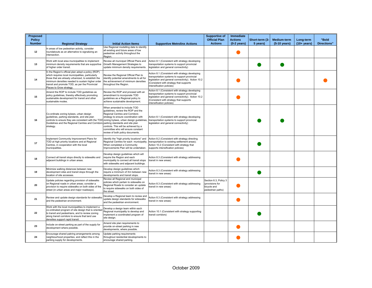| Proposed<br><b>Policy</b> |                                                                                                                                                                                                                                                                                                 |                                                                                                                                                                                                                                                               |                                                                                                                                                                                                                               | <b>Supportive of</b><br><b>Official Plan</b>                                 | <b>Immediate</b><br><b>Actions</b> | Short-term (3- | Medium-term            | Long-term      | "Bold              |
|---------------------------|-------------------------------------------------------------------------------------------------------------------------------------------------------------------------------------------------------------------------------------------------------------------------------------------------|---------------------------------------------------------------------------------------------------------------------------------------------------------------------------------------------------------------------------------------------------------------|-------------------------------------------------------------------------------------------------------------------------------------------------------------------------------------------------------------------------------|------------------------------------------------------------------------------|------------------------------------|----------------|------------------------|----------------|--------------------|
| <b>Number</b>             | <b>Regional Strategy</b>                                                                                                                                                                                                                                                                        | <b>Initial Action Items</b>                                                                                                                                                                                                                                   | <b>Supportive Metrolinx Actions</b>                                                                                                                                                                                           | <b>Actions</b>                                                               | $(0-2 \text{ years})$              | 5 years)       | $(5-10 \text{ years})$ | $(10 + years)$ | <b>Directions"</b> |
| 12                        | In areas of low pedestrian activity, consider<br>roundabouts as an alternative to signalizing an<br>intersection.                                                                                                                                                                               | Use Regional modelling date to identify<br>all existing and future areas of low<br>pedestrian activity throughout the<br>Region.                                                                                                                              |                                                                                                                                                                                                                               |                                                                              |                                    |                |                        |                |                    |
| 13                        | Work with local area municipalities to implement<br>minimum density requirements that are supportive<br>of higher order transit.                                                                                                                                                                | Review all municipal Official Plans and<br>Growth Management Strategies to<br>update minimum density requirements.                                                                                                                                            | Action 8.1 (Consistent with strategy developing<br>transportation systems to support provincial<br>legislation and general connectivity)                                                                                      |                                                                              |                                    |                |                        |                |                    |
| 14                        | In the Region's official plan adopt a policy (ROP)<br>which requires local municipalities, particularly<br>those that are already urbanized, to establish the<br>minimum densities needed to sustain higher order<br>transit and promote TOD, as per the Provincial<br>Places to Grow strategy. | Review the Regional Official Plan to<br>identify potential amendments to all for<br>the achievement of minimum densities<br>throughout the Region.                                                                                                            | Action 8.1 (Consistent with strategy developing<br>transportation systems to support provincial<br>legislation and general connectivity); Action 10.2<br>(Consistent with strategy that supports<br>intensification policies) |                                                                              |                                    |                |                        |                |                    |
| 15                        | Amend the ROP to include TOD quidelines as<br>policy guidelines, thereby effectively promoting<br>sustainable development for transit and other<br>sustainable modes.                                                                                                                           | Review the ROP and proceed with an<br>amendment to incorporate TOD<br>quidelines as a Regional policy to<br>achieve sustainable development.                                                                                                                  | Action 8.1 (Consistent with strategy developing<br>transportation systems to support provincial<br>legislation and general connectivity); Action 10.2<br>(Consistent with strategy that supports<br>intensification policies) |                                                                              |                                    |                |                        |                |                    |
| 16                        | Co-ordinate zoning bylaws, urban design<br>guidelines, parking standards, and site plan<br>controls to ensure they are consistent with the TOD zoning bylaws, urban design guidelines,<br>Guidelines and the Regional Centres and Corridors parking standards and site plan<br>strategy.        | When amended to include TOD<br>quidelines, review the ROP and the<br>Regional Centres and Corridors<br>strategy to ensure coordination with<br>controls. This will be achieved by a<br>committee who will ensure constant<br>review of both policy documents. | Action 8.1 (Consistent with strategy developing<br>transportation systems to support provincial<br>legislation and general connectivity)                                                                                      |                                                                              |                                    |                |                        |                |                    |
| 17                        | Implement Community Improvement Plans for<br>TOD at high priority locations and at Regional<br>Centres, in cooperation with the local<br>municipalities.                                                                                                                                        | Identify the "high priority locations" and<br>Regional Centres for each municipality<br>When completed a Community<br>Improvements Plan will be undertaken.                                                                                                   | Action 8.2 (Consistent with strategy directing<br>transportation to existing settlement areas);<br>Action 10.2 (Consistent with strategy that<br>supports intensification policies)                                           |                                                                              |                                    |                |                        |                |                    |
| 18                        | Connect all transit stops directly to sidewalks and<br>adjacent buildings in urban areas.                                                                                                                                                                                                       | Develop design quidelines which will<br>require the Region and each<br>municipality to connect all transit stops<br>with sidewalks and adjacent buildings.                                                                                                    | Action 8.3 (Consistent with strategy addressing<br>transit in new areas)                                                                                                                                                      |                                                                              |                                    |                |                        |                |                    |
| 19                        | Minimize walking distances between new<br>development sites and transit stops through the<br>location of site accesses.                                                                                                                                                                         | Develop design guidelines which<br>require a minimum of Xm between new<br>developments and transit stops.                                                                                                                                                     | Action 8.3 (Consistent with strategy addressing<br>transit in new areas)                                                                                                                                                      |                                                                              |                                    |                |                        |                |                    |
| 20                        | Update policies regarding provision of sidewalks<br>on Regional roads in urban areas; consider a<br>provision to require sidewalks on both sides of the<br>street (in urban areas and major roadways).                                                                                          | Review all Regional and municipal<br>policies which pertain to sidewalks on<br>Regional Roads to consider an update<br>to require sidewalks on both sides of<br>the street.                                                                                   | Action 8.3 (Consistent with strategy addressing<br>transit in new areas)                                                                                                                                                      | Section 6.3, Policy 3<br>(provisions for<br>bicvcle and<br>pedestrian paths) |                                    |                |                        |                |                    |
| 21                        | Review and update design standards for sidewalk<br>and the pedestrian environment.                                                                                                                                                                                                              | Develop a Regional team to review and<br>update design standards for sidewalks<br>and the pedestrian environment.                                                                                                                                             | Action 8.3 (Consistent with strategy addressing<br>transit in new areas)                                                                                                                                                      |                                                                              |                                    |                |                        |                |                    |
| 22                        | Work with the local municipalities to implement a<br>co-ordinated program of site design that is oriented<br>to transit and pedestrians, and to review zoning<br>along transit corridors to ensure that land use<br>densities support rapid transit.                                            | Develop a design team within each<br>Regional municipality to develop and<br>implement a coordinated program of<br>site design.                                                                                                                               | Action 10.1 (Consistent with strategy supporting<br>transit corridors)                                                                                                                                                        |                                                                              |                                    |                |                        |                |                    |
| 23                        | Include on-street parking as part of the supply for<br>development where possible.                                                                                                                                                                                                              | Amend site plan requirements to<br>provide on-street parking in new<br>developments, where possible.                                                                                                                                                          |                                                                                                                                                                                                                               |                                                                              |                                    |                |                        |                |                    |
| 24                        | Encourage shared pakring arrangements among<br>neighbourhood properties, and reflect this in the<br>parking supply for developments.                                                                                                                                                            | Update parking requirements<br>throughout residential developments to<br>encourage shared parking.                                                                                                                                                            |                                                                                                                                                                                                                               |                                                                              |                                    |                |                        |                |                    |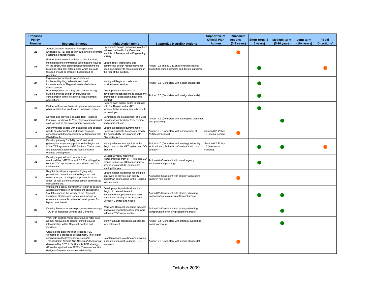| Proposed<br><b>Policy</b><br><b>Number</b> | <b>Regional Strategy</b>                                                                                                                                                                                                                                                                                                                            | <b>Initial Action Items</b>                                                                                                                                                      | <b>Supportive Metrolinx Actions</b>                                                                                | <b>Supportive of</b><br><b>Official Plan</b><br><b>Actions</b> | Immediate<br><b>Actions</b><br>$(0-2 \text{ years})$ | Short-term (3-<br>5 years) | Medium-term<br>(5-10 years) | Long-term<br>$(10 + years)$ | "Bold<br><b>Directions"</b> |
|--------------------------------------------|-----------------------------------------------------------------------------------------------------------------------------------------------------------------------------------------------------------------------------------------------------------------------------------------------------------------------------------------------------|----------------------------------------------------------------------------------------------------------------------------------------------------------------------------------|--------------------------------------------------------------------------------------------------------------------|----------------------------------------------------------------|------------------------------------------------------|----------------------------|-----------------------------|-----------------------------|-----------------------------|
|                                            | Adopt Canadian Institute of Transportation                                                                                                                                                                                                                                                                                                          | Update site design guidelines to adhere                                                                                                                                          |                                                                                                                    |                                                                |                                                      |                            |                             |                             |                             |
| 25                                         | Engineers (CITE) site design guidelines to promote<br>sustainable transportation.                                                                                                                                                                                                                                                                   | to those outlined in the Canadian<br>Institute of Transportation Engineering<br>(CITE).                                                                                          |                                                                                                                    |                                                                |                                                      |                            |                             |                             |                             |
| 26                                         | Partner with the municipalities to plan for retail,<br>institutional and commercial uses that are focused<br>on the street, with parking positioned behind the<br>buildings. "Big box" retail plazas which are auto-<br>focused should be strongly discouraged or<br>prohibited.                                                                    | Update retail, institutional and<br>commercial design requirements for<br>each municipality to require parking in<br>the rear of the building.                                   | Action 10.1 and 10.3 (Consistent with strategy<br>supporting transit corridors and design standards)               |                                                                |                                                      |                            |                             |                             |                             |
| 27                                         | Explore opportunities to co-ordinate and<br>implement lighting, sidewalk and road<br>improvements for Regional roads which have<br>transit service.                                                                                                                                                                                                 | Identify all Regional roads which<br>provide transit service.                                                                                                                    | Action 10.3 (Consistent with design standards)                                                                     |                                                                |                                                      |                            |                             |                             |                             |
| 28                                         | Promote pedestrian safety and comfort through<br>building and site design by including this<br>consideration in the review of all development<br>applications.                                                                                                                                                                                      | Develop a team to assess all<br>development applications to ensure the<br>promotion of pedestrian safety and<br>comfort.                                                         | Action 10.3 (Consistent with design standards)                                                                     |                                                                |                                                      |                            |                             |                             |                             |
| 29                                         | Partner with school boards to plan for schools and<br>other facilities that are located on transit routes.                                                                                                                                                                                                                                          | Require each school board to contact<br>both the Region and a YRT<br>representative when a new school is to<br>be developed.                                                     |                                                                                                                    |                                                                |                                                      |                            |                             |                             |                             |
| 30                                         | Develop and provide a detailed Best Practices<br>Planning Handbook to York Region and municipal<br>staff, as well as the development community.                                                                                                                                                                                                     | Commence the development of a Best<br>Practices Handbook for York Region<br>and municipal staff.                                                                                 | Action 11.5 (Consistent with developing continual<br>best practices)                                               |                                                                |                                                      |                            |                             |                             |                             |
| 31                                         | Accommodate people with disabilities and special<br>needs on all pedestrian and transit systems.<br>consistent with the Accessibility for Ontarians with<br>Disabilities Act.                                                                                                                                                                       | Update all design requirements for<br>Regional Transit to be consistent with<br>the Accessibility for Ontarians with<br><b>Disabilities Act.</b>                                 | Action 12.2 (Consistent with achievement of<br>AODA compliance)                                                    | Section 6.2, Policy<br>12 (special needs)                      |                                                      |                            |                             |                             |                             |
| 32                                         | Develop gateway "mobility hubs" and local<br>gateways at major entry points to the Region and<br>to the YRT system and GO Stations. These hubs<br>and gateways should be the focus of transit-<br>oriented development.                                                                                                                             | Identify all major entry points to the<br>Region and to the YRT system and GO<br>Stations.                                                                                       | Action 3.10 (Consistent with strategy to identify<br>lot locations ); Action 9.1 (Consistent with hub<br>strategy) | Section 6.2, Policy<br>10 (intermodal<br>stations)             |                                                      |                            |                             |                             |                             |
| 33                                         | Develop a procedure to ensure local<br>municipalities, YRT/Viva and GO Transit together<br>explore TOD opportunities around Viva and GO<br>station sites.                                                                                                                                                                                           | Develop a yearly meeting of<br>representatives from YRT/Viva and GO<br>Transit to discuss TOD opportunities<br>around Viva and GO Station sites<br>starting this year.           | Action 4.4 (Consistent with transit agency<br>involvement in planning)                                             |                                                                |                                                      |                            |                             |                             |                             |
| 34                                         | Require developers to provide high quality<br>pedestrian connections to the Regional road<br>network as part of site plan approvals in urban<br>areas, as well as effective pedestrian permeability<br>through the site.                                                                                                                            | Update design guidelines for site plan<br>approvals to provide high quality<br>pedestrian connections to the Regional<br>oad network.                                            | Action 8.3 (Consistent with strategy addressing<br>transit in new areas)                                           |                                                                |                                                      |                            |                             |                             |                             |
| 35                                         | Implement a policy allowing the Region to declare<br>a particular interest in development applications<br>that take place in the vicinity of the Regional<br>Corridors, Centres and nodes, as a means to<br>ensure a sustainable pattern of development for<br>higher order transit.                                                                | Develop a policy which allows the<br>Region to delare interest in<br>development applications that take<br>place int eh vicintiy of the Regional<br>Corridor, Centres and nodes. | Action 8.2 (Consistent with strategy directing<br>transportation to existing settlement areas)                     |                                                                |                                                      |                            |                             |                             |                             |
| 36                                         | Develop financial incentive programs to encourage<br>TOD in all Regional Centres and Corridors.                                                                                                                                                                                                                                                     | Work with Regional economic advisors<br>to develop financial incetive programs<br>to look at TOD opportunities.                                                                  | Action 8.2 (Consistent with strategy directing<br>transportation to existing settlement areas)                     |                                                                |                                                      |                            |                             |                             |                             |
| 37                                         | Work with existing major auto-focused retail sites<br>as they redevelop, to plan for transit-focused<br>intensification within Regional Centres and<br>Corridors.                                                                                                                                                                                   | Identify all auto-focused retail sites for<br>redevelopment.                                                                                                                     | Action 10.1 (Consistent with strategy supporting<br>transit corridors)                                             |                                                                |                                                      |                            |                             |                             |                             |
| 38                                         | Create a site plan checklist to gauge TOD<br>elements of a proposed development. The Region<br>should utilize the Promoting Sustainable<br>Transportation through Site Design (2005) manual<br>developed by CITE to facilitate its TOD strategy<br>(Consider application of CITE's 'Greenmodes' site<br>design software to enhance sustainability). | Develop a team to outline and develop<br>a site plan checklist to gauge TOD<br>elements                                                                                          | Action 10.3 (Consistent with design standards)                                                                     |                                                                |                                                      |                            |                             |                             |                             |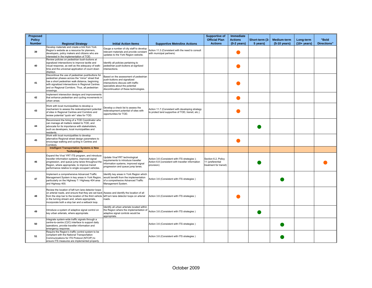| <b>Proposed</b> |                                                                                                                                                                                                                                                                                                                                                              |                                                                                                                                                                                         |                                                                                                                 | <b>Supportive of</b>                                              | <b>Immediate</b>      |                |              |                |                    |
|-----------------|--------------------------------------------------------------------------------------------------------------------------------------------------------------------------------------------------------------------------------------------------------------------------------------------------------------------------------------------------------------|-----------------------------------------------------------------------------------------------------------------------------------------------------------------------------------------|-----------------------------------------------------------------------------------------------------------------|-------------------------------------------------------------------|-----------------------|----------------|--------------|----------------|--------------------|
| <b>Policy</b>   |                                                                                                                                                                                                                                                                                                                                                              |                                                                                                                                                                                         |                                                                                                                 | <b>Official Plan</b>                                              | <b>Actions</b>        | Short-term (3- | Medium-term  | Long-term      | "Bold              |
| <b>Number</b>   | <b>Regional Strategy</b>                                                                                                                                                                                                                                                                                                                                     | <b>Initial Action Items</b>                                                                                                                                                             | <b>Supportive Metrolinx Actions</b>                                                                             | <b>Actions</b>                                                    | $(0-2 \text{ years})$ | 5 years)       | (5-10 years) | $(10 + years)$ | <b>Directions"</b> |
| 39              | Develop materials and create a link from York<br>Region's website as a resource for planners,<br>developers, policy makers and citizens who are<br>interested in the implementation of TOD.                                                                                                                                                                  | Gauge a number of city staff to develop<br>relevant materials and provide constant<br>updates to the York Region website.                                                               | Action 11.3 (Consistent with the need to consult<br>with municipal partners)                                    |                                                                   |                       |                |              |                |                    |
| 40              | Review policies on pedestrian bush-buttons at<br>signalized intersections to improve tactile and<br>visual response, as well as the adequacy of walk-<br>time and the universal application of count down<br>displays.                                                                                                                                       | Identify all policies pertaining to<br>pedestrian push-buttons at signlized<br>intersections.                                                                                           |                                                                                                                 |                                                                   |                       |                |              |                |                    |
| 41              | Discontinue the use of pedestrian pushbuttons for<br>pedestrian phases across the "minor" street that<br>has a short pedestrian walk distance, beginning<br>with signalized intersections in Regional Centres<br>and on Regional Corridors. Thus, all pedestrian<br>crossings.                                                                               | Based on the assessment of pedestrian<br>push-buttons and signalized<br>intersections discuss with traffic<br>specialists about the potential<br>discontinuation of these technologies. |                                                                                                                 |                                                                   |                       |                |              |                |                    |
| 42              | Implement intersection designs and improvements<br>that enhance pedestrian and cycling movements in<br>urban areas.                                                                                                                                                                                                                                          |                                                                                                                                                                                         |                                                                                                                 |                                                                   |                       |                |              |                |                    |
| 43              | Work with local municipalities to develop a<br>mechanism to assess the redevelopment potential<br>of sites in Regional Centres and Corridors and<br>review potential "quick win" sites for TOD.                                                                                                                                                              | Develop a check list to assess the<br>redevelopment potential of sites with<br>opportunities for TOD.                                                                                   | Action 11.7 (Consistent with developing strategy<br>to protect land supportive of TOD, transit, etc.)           |                                                                   |                       |                |              |                |                    |
| 44              | Recommend the hiring of a TOD Coordinator who<br>can manage all matters related to TOD, and<br>advocate for its importance with stakeholders,<br>such as developers, local municipalities and<br>residents.                                                                                                                                                  |                                                                                                                                                                                         |                                                                                                                 |                                                                   |                       |                |              |                |                    |
| 45              | Work with local municipalities to develop<br>alternative Regional street design parameters to<br>encourage walking and cycling in Centres and<br>Corridors.                                                                                                                                                                                                  |                                                                                                                                                                                         |                                                                                                                 |                                                                   |                       |                |              |                |                    |
|                 | <b>Intelligent Transportation Systems &amp; New</b><br><b>Technologies</b>                                                                                                                                                                                                                                                                                   |                                                                                                                                                                                         |                                                                                                                 |                                                                   |                       |                |              |                |                    |
| 46              | Expand the Viva/ YRT ITS program, and introduce<br>traveller information systems, improved signal<br>progression, and queue jump lanes throughout the<br>Region, where appropriate, to improve transit<br>performance relative to single occupant vehicles.                                                                                                  | Update Viva/YRT technological<br>requirements to introduce traveller<br>information systems, improved signal<br>progression and queue jump lanes.                                       | Action 3.6 (Consistent with ITS strategies);<br>Action 6.8 (consistent with traveller information<br>provision) | Section 6.2, Policy<br>11 (preferential<br>treatment for transit) |                       |                |              |                |                    |
| 47              | Implement a comprehensive Advanced Traffic<br>Management System in key areas in York Region,<br>particularly on the Highway 7 / Highway 404 area<br>and Highway 400.                                                                                                                                                                                         | dentify key areas in York Region which<br>would benefit from the implementation<br>of a comprehesive Advanced Traffic<br>Management System.                                             | Action 3.6 (Consistent with ITS strategies)                                                                     |                                                                   |                       |                |              |                |                    |
| 48              | Review the location of left turn lane detector loops<br>on arterial roads, and ensure that they are set back Assess and identify the location of all<br>from the stop bar to the location of the third vehicle left turn lane detector loops on arterial<br>in the turning stream and, where appropriate,<br>incorporate both a stop bar and a setback loop. | roads.                                                                                                                                                                                  | Action 3.6 (Consistent with ITS strategies)                                                                     |                                                                   |                       |                |              |                |                    |
| 49              | Introduce a system of adaptive signal control on<br>key urban arterials, where appropriate.                                                                                                                                                                                                                                                                  | Identify all urban arterials located within<br>the Region where the implementation of<br>adaptive signal controls would be<br>appropriate.                                              | Action 3.6 (Consistent with ITS strategies)                                                                     |                                                                   |                       |                |              |                |                    |
| 50              | Integrate system-wide traffic signals through a<br>centre-to-centre (C2C) interface to support daily<br>operations, provide traveller information and<br>emergency response.                                                                                                                                                                                 |                                                                                                                                                                                         | Action 3.6 (Consistent with ITS strategies)                                                                     |                                                                   |                       |                |              |                |                    |
| 51              | Require the Region's traffic control system to be<br>compliant with the National Transportation<br>Communications for ITS Protocol (NTCIP) to<br>ensure ITS measures are implemented properly.                                                                                                                                                               |                                                                                                                                                                                         | Action 3.6 (Consistent with ITS strategies)                                                                     |                                                                   |                       |                |              |                |                    |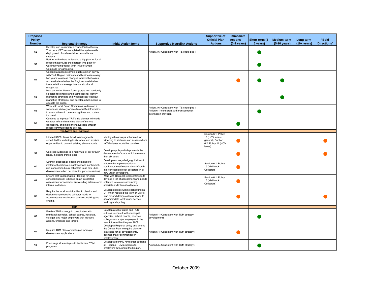| Proposed<br><b>Policy</b> |                                                                                                                                                                                                                                                                  |                                                                                                                                                                                         |                                                                                                                      | <b>Supportive of</b><br><b>Official Plan</b>                                                | <b>Immediate</b><br><b>Actions</b> | Short-term (3- | Medium-term  | Long-term      | "Bold              |
|---------------------------|------------------------------------------------------------------------------------------------------------------------------------------------------------------------------------------------------------------------------------------------------------------|-----------------------------------------------------------------------------------------------------------------------------------------------------------------------------------------|----------------------------------------------------------------------------------------------------------------------|---------------------------------------------------------------------------------------------|------------------------------------|----------------|--------------|----------------|--------------------|
| <b>Number</b>             | <b>Regional Strategy</b>                                                                                                                                                                                                                                         | <b>Initial Action Items</b>                                                                                                                                                             | <b>Supportive Metrolinx Actions</b>                                                                                  | <b>Actions</b>                                                                              | $(0-2 \text{ years})$              | 5 years)       | (5-10 years) | $(10 + years)$ | <b>Directions"</b> |
| 52                        | Develop and implement a Transit Video Survey<br>Tool once YRT has completed the system-wide<br>deployment of on-board video surveillance<br>systems.                                                                                                             |                                                                                                                                                                                         | Action 3.6 (Consistent with ITS strategies)                                                                          |                                                                                             |                                    |                |              |                |                    |
| 53                        | Partner with others to develop a trip planner for all<br>modes that provide the shortest time path for<br>walking/cycling/transit (with links to Smart<br>Commute for carpooling.                                                                                |                                                                                                                                                                                         |                                                                                                                      |                                                                                             |                                    |                |              |                |                    |
| 54                        | Conduct a random sample public opinion survey<br>with York Region residents and businesses every<br>two years to assess changes in travel behaviour,<br>and evaluate whether the Region's sustainable<br>transportation message is understood and<br>recognized. |                                                                                                                                                                                         |                                                                                                                      |                                                                                             |                                    |                |              |                |                    |
| 55                        | Host annual or bienial focus groups with randomly<br>selected residnents and businesses to: identify<br>marketing strengths and weaknesses; test new<br>marketing strategies; and develop other means to<br>educate the public.                                  |                                                                                                                                                                                         |                                                                                                                      |                                                                                             |                                    |                |              |                |                    |
| 56                        | Work with local Smart Commutes to develop a<br>web-based delivery of real-time traffic information<br>to assist drivers in determining times and routes<br>for travel.                                                                                           |                                                                                                                                                                                         | Action 3.6 (Consistent with ITS strategies);<br>Action 6.1 (consistent with transportation<br>information provision) |                                                                                             |                                    |                |              |                |                    |
| 57                        | Continue to improve YRT's trip planner to include<br>weather info and real-time alerts of service<br>disruptions, and make them available through<br>mobile communications devices.                                                                              |                                                                                                                                                                                         |                                                                                                                      |                                                                                             |                                    |                |              |                |                    |
|                           | <b>Roadways and Highways</b>                                                                                                                                                                                                                                     |                                                                                                                                                                                         |                                                                                                                      |                                                                                             |                                    |                |              |                |                    |
| 58                        | Initiate HOV2+ lanes for all road segments<br>scheduled for widening to six lanes, and explore<br>opportunities to convert existing six-lane roads.                                                                                                              | Identify all roadways scheduled for<br>widening to six lanes and assess where<br>HOV2+ lanes would be possible.                                                                         |                                                                                                                      | Section 6.1, Policy<br>16 (HOV lanes-<br>general): Section<br>6.2, Policy 11 (HOV<br>lanes) |                                    |                |              |                |                    |
| 59                        | Cap road widenings to a maximum of six through<br>lanes, including transit lanes.                                                                                                                                                                                | Develop a policy which prevents the<br>development of roads which are more<br>than six lanes.                                                                                           |                                                                                                                      |                                                                                             |                                    |                |              |                |                    |
| 60                        | Strongly suggest all local muncipalities to<br>implement continuous east/west and north/south<br>mid-concession block collectors in all new uban<br>developments (two per direction per concession).                                                             | Develop raodway design guidelines to<br>enforce the implementation of<br>continuous east/west and north/south<br>mid-concession block collectors in all<br>new urban developers.        |                                                                                                                      | Section 6.1, Policy<br>15 (Mid-block<br>Collectors)                                         |                                    |                |              |                |                    |
| 61                        | Ensure that transportation Planning for each<br>concession block is based on an integrated<br>assessment of needs for surrounding arterials and<br>internal collectors.                                                                                          | Work with Regional representatives to<br>develop a list of assessment and needs<br>criterium to review surrounding<br>artierials and internal collectors                                |                                                                                                                      | Section 6.1, Policy<br>15 (Mid-block<br>Collectors)                                         |                                    |                |              |                |                    |
| 62                        | Require the local municipalities to plan for and<br>design comprehensive collector roads to<br>accommodate local transit services, walking and<br>cycling.                                                                                                       | Develop policies within each muncipal<br>OP which required the town or City to<br>plan for and design collector roads to<br>accommodate local transit service,<br>walking and cycling.  |                                                                                                                      |                                                                                             |                                    |                |              |                |                    |
|                           | <b>TDM</b>                                                                                                                                                                                                                                                       |                                                                                                                                                                                         |                                                                                                                      |                                                                                             |                                    |                |              |                |                    |
| 63                        | Finalise TDM strategy in consultation with<br>municipal agencies, school boards, hospitals,<br>colleges and major employers that includes<br>actions, timelines and targets.                                                                                     | Develop a set of dates and PCC<br>outlines to consult with municipal<br>agencies, school boards, hospitals,<br>colleges and major employers in the<br>near future within the vear 2009. | Action 5.1 (Consistent with TDM strategy<br>development)                                                             |                                                                                             |                                    |                |              |                |                    |
| 64                        | Require TDM plans or strategies for major<br>development applications.                                                                                                                                                                                           | Develop a Regional policy and amend<br>the Official Plan to require plans or<br>strategies for all developments,<br>deemed major commerical or<br>employement.                          | Action 5.4 (Consistent with TDM strategy)                                                                            |                                                                                             |                                    |                |              |                |                    |
| 65                        | Encourage all employers to implement TDM<br>programs.                                                                                                                                                                                                            | Develop a monthly newsletter outlining<br>all Regional TDM programs to<br>employers throughout the Region.                                                                              | Action 5.5 (Consistent with TDM strategy)                                                                            |                                                                                             |                                    |                |              |                |                    |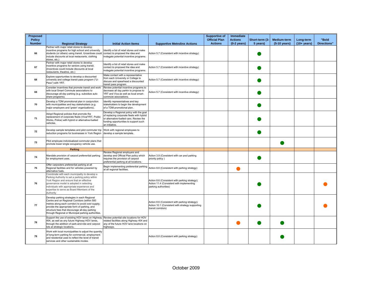| Proposed<br><b>Policy</b> |                                                                                                                                                                                                                                                                                                          |                                                                                                                                                                                            |                                                                                                                          | <b>Supportive of</b><br><b>Official Plan</b> | Immediate<br><b>Actions</b> | Short-term (3- | Medium-term  | Long-term      | "Bold              |
|---------------------------|----------------------------------------------------------------------------------------------------------------------------------------------------------------------------------------------------------------------------------------------------------------------------------------------------------|--------------------------------------------------------------------------------------------------------------------------------------------------------------------------------------------|--------------------------------------------------------------------------------------------------------------------------|----------------------------------------------|-----------------------------|----------------|--------------|----------------|--------------------|
| <b>Number</b>             | <b>Regional Strategy</b>                                                                                                                                                                                                                                                                                 | <b>Initial Action Items</b>                                                                                                                                                                | <b>Supportive Metrolinx Actions</b>                                                                                      | <b>Actions</b>                               | $(0-2 \text{ years})$       | 5 years)       | (5-10 years) | $(10 + years)$ | <b>Directions"</b> |
| 66                        | Partner with major retail stores to develop<br>incentive programs for high school and university<br>students (or others) using transit. I(ncentives could contact to proposed the idea and<br>include discounts at local restaurants, clothing<br>stores, etc.)                                          | Identify a list of retail stores and make<br>instegate potential incentive programs.                                                                                                       | Action 5.7 (Consistent with incentive strategy)                                                                          |                                              |                             |                |              |                |                    |
| 67                        | Partner with major retail stores to develop<br>incentive programs for seniors using transit.<br>Incentives could include discounts at local<br>estaurants, theatres, etc.)                                                                                                                               | Identify a list of retail stores and make<br>contact to proposed the idea and<br>instegate potential incentive programs.                                                                   | Action 5.7 (Consistent with incentive strategy)                                                                          |                                              |                             |                |              |                |                    |
| 68                        | Explore opportunities to develop a discounted<br>university and college transit pass program ("U-<br>Pass") with YRT.                                                                                                                                                                                    | Make contact with a representative<br>from each University or College to<br>discuss and spearhead a discounted<br>transit pass program.                                                    | Action 5.7 (Consistent with incentive strategy)                                                                          |                                              |                             |                |              |                |                    |
| 69                        | Consider incentives that promote transit and work<br>with local Smart Commute associations to<br>discourage all-day parking (e.g. subsidize auto<br>share programs).                                                                                                                                     | Review potential incentive programs to<br>decrease all day parkin to propose to<br>YRT and Viva as well as local smart-<br>commute associations.                                           | Action 5.7 (Consistent with incentive strategy)                                                                          |                                              |                             |                |              |                |                    |
| 70                        | Develop a TDM promotional plan in conjunction<br>with municipalities and key stakeholders (e.g.<br>major employers and 'green' organizations).                                                                                                                                                           | Identify representatives and key<br>stakeholders to begin the development<br>of a TDM promotional plan.                                                                                    |                                                                                                                          |                                              |                             |                |              |                |                    |
| 71                        | Adopt Regional policies that promote the<br>replacement of corporate fleets (Viva/YRT, Public<br>Works, Police) with hybrid or alternative-fuelled<br>vehicles.                                                                                                                                          | Develop a Regional policy with the goal<br>of replacing corporate fleets with hybrid<br>or alternative-fuelled cars. Review the<br>funding opportunities to support such<br>an initiative. |                                                                                                                          |                                              |                             |                |              |                |                    |
| 72                        | Develop sample templates and pilot commuter trip<br>reduction programs for businesses in York Region                                                                                                                                                                                                     | Work with regional employees to<br>develop a sample template.                                                                                                                              |                                                                                                                          |                                              |                             |                |              |                |                    |
| 73                        | Pilot employee individualized commuter plans that<br>promote lower single occupancy vehicle use.                                                                                                                                                                                                         |                                                                                                                                                                                            |                                                                                                                          |                                              |                             |                |              |                |                    |
|                           | <b>Parking</b>                                                                                                                                                                                                                                                                                           |                                                                                                                                                                                            |                                                                                                                          |                                              |                             |                |              |                |                    |
| 74                        | Mandate provision of carpool preferential parking<br>for employment uses.                                                                                                                                                                                                                                | Review Regional employers and<br>develop and Official Plan policy which<br>requires the provision of carpool<br>preferential parking at all locations.                                     | Action 3.9 (Consistent with car pool parking<br>priority policy)                                                         |                                              |                             |                |              |                |                    |
| 75                        | Offer carpoolers preferential parking at all<br>Regional facilities and for vehicles powered by<br>alternative fuels.                                                                                                                                                                                    | Begin implementing preferential parking<br>at all regional facilities.                                                                                                                     | Action 8.6 (Consistent with parking strategy)                                                                            |                                              |                             |                |              |                |                    |
| 76                        | Coordinate with each municipality to develop a<br>Parking Authority to set a parking policy within<br>York Region and ensure that an effective<br>governance model is adopted in selecting<br>individuals with appropriate experience and<br>expertise to serve as Board Members of the<br>Authority     |                                                                                                                                                                                            | Action 8.6 (Consistent with parking strategy);<br>Action 11.4 (Consistent with implementing<br>parking authorities)      |                                              |                             |                |              |                |                    |
| 77                        | Develop parking strategies in each Regional<br>Centre and on Regional Corridors (within 500<br>metres along each corridor) to avoid over-supply,<br>provide the appropriate form of parking, and<br>structure fees that discourage all-day parking<br>through Regional or Municipal parking authorities. |                                                                                                                                                                                            | Action 8.6 (Consistent with parking strategy);<br>Action 10.1 (Consistent with strategy supporting<br>transit corridors) |                                              |                             |                |              |                |                    |
| 78                        | Support the use of existing HOV lanes on Highway<br>404, as well as any future Highway HOV lanes,<br>through the addition of park-and-ride and carpool<br>lots at strategic locations.                                                                                                                   | Review potential site locations for HOV<br>related facilities along Highway 404 and<br>any of the future HOV lane locations on<br>highways.                                                |                                                                                                                          |                                              |                             |                |              |                |                    |
| 79                        | Work with local municipalities to adjust the quantity<br>of long-term parking for commercial, employment<br>and residential uses to reflect the level of transit<br>services and other sustainable modes.                                                                                                |                                                                                                                                                                                            | Action 8.6 (Consistent with parking strategy)                                                                            |                                              |                             |                |              |                |                    |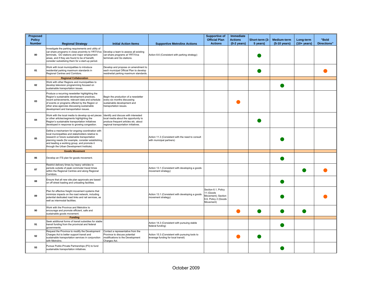| Proposed<br><b>Policy</b><br><b>Number</b> | <b>Regional Strategy</b>                                                                                                                                                                                                                                                                                 | <b>Initial Action Items</b>                                                                                                                                  | <b>Supportive Metrolinx Actions</b>                                                   | <b>Supportive of</b><br><b>Official Plan</b><br><b>Actions</b>                              | <b>Immediate</b><br><b>Actions</b><br>$(0-2 \text{ years})$ | Short-term (3-<br>5 years) | Medium-term<br>(5-10 years) | Long-term<br>$(10 + years)$ | "Bold<br><b>Directions"</b> |
|--------------------------------------------|----------------------------------------------------------------------------------------------------------------------------------------------------------------------------------------------------------------------------------------------------------------------------------------------------------|--------------------------------------------------------------------------------------------------------------------------------------------------------------|---------------------------------------------------------------------------------------|---------------------------------------------------------------------------------------------|-------------------------------------------------------------|----------------------------|-----------------------------|-----------------------------|-----------------------------|
| 80                                         | Investigate the parking requirements and utility of<br>car-share programs in close proximity to YRT/Viva Develop a team to assess all existing<br>terminals, GO stations and major employment<br>areas, and if they are found to be of benefit,<br>consider subsidizing them for a start-up period.      | car-share programs at YRT/Viva<br>terminals and Go stations.                                                                                                 | Action 8.6 (Consistent with parking strategy)                                         |                                                                                             |                                                             |                            |                             |                             |                             |
| 81                                         | Work with local municipalities to introduce<br>residential parking maximum standards in<br>Regional Centres and Corridors.                                                                                                                                                                               | Develop and propose on amendment to<br>each municipal Official Plan to develop<br>residnetial parking maximum standards.                                     |                                                                                       |                                                                                             |                                                             |                            |                             |                             |                             |
|                                            | <b>Regional Collaboration</b>                                                                                                                                                                                                                                                                            |                                                                                                                                                              |                                                                                       |                                                                                             |                                                             |                            |                             |                             |                             |
| 82                                         | Work with other Regions and municipalities to<br>develop television programming focused on<br>sustainable transportation issues.                                                                                                                                                                         |                                                                                                                                                              |                                                                                       |                                                                                             |                                                             |                            |                             |                             |                             |
| 83                                         | Produce a recurring newsletter highlighting the<br>Region's sustainable development practices,<br>recent achievements, relevant data and schedule<br>of events or programs offered by the Region or<br>other area agencies discussing sustainable<br>development and transportation issues.              | Begin the production of a newsletter<br>every six months discussing<br>sustainable development and<br>transportation issues.                                 |                                                                                       |                                                                                             |                                                             |                            |                             |                             |                             |
| 84                                         | Work with the local media to develop op-ed pieces<br>or other articles/segments highlighting the<br>Region's sustainable transportation initiatives<br>developed in response to growing congestion.                                                                                                      | Identify and discuss with interested<br>local media about the opportunity to<br>produce frequent articles etc. about<br>regional transportation initiatives. |                                                                                       |                                                                                             |                                                             |                            |                             |                             |                             |
| 85                                         | Define a mechanism for ongoing coordination with<br>local municipalities and stakeholders relative to<br>research or future sustainable transportation<br>planning needs (for example, consider establishing<br>and leading a working group, and promote it<br>through the Urban Development Institute). |                                                                                                                                                              | Action 11.3 (Consistent with the need to consult<br>with municipal partners)          |                                                                                             |                                                             |                            |                             |                             |                             |
|                                            | <b>Goods Movement</b>                                                                                                                                                                                                                                                                                    |                                                                                                                                                              |                                                                                       |                                                                                             |                                                             |                            |                             |                             |                             |
| 86                                         | Develop an ITS plan for goods movement.                                                                                                                                                                                                                                                                  |                                                                                                                                                              |                                                                                       |                                                                                             |                                                             |                            |                             |                             |                             |
| 87                                         | Restrict delivery times by heavy vehicles to<br>periods outside of peak commuter travel times<br>within the Regional Centres and along Regional<br>Corridors.                                                                                                                                            |                                                                                                                                                              | Action 13.1 (Consistent with developing a goods<br>movement strategy)                 |                                                                                             |                                                             |                            |                             |                             |                             |
| 88                                         | Ensure that all new site plan approvals are based<br>on off street loading and unloading facilities.                                                                                                                                                                                                     |                                                                                                                                                              |                                                                                       |                                                                                             |                                                             |                            |                             |                             |                             |
| 89                                         | Plan for effective freight movement systems that<br>minimize impacts on the road network, including<br>potential dedicated road links and rail services, as<br>well as intermodal facilities.                                                                                                            |                                                                                                                                                              | Action 13.1 (Consistent with developing a goods<br>movement strategy)                 | Section 6.1, Policy<br>11 (Goods<br>Movement); Section<br>6.6, Policy 2 (Goods<br>Movement) |                                                             |                            |                             |                             |                             |
| 90                                         | Work with the Province and Metrolinx to<br>encourage and promote efficient, safe and<br>sustainable goods movement.                                                                                                                                                                                      |                                                                                                                                                              |                                                                                       |                                                                                             |                                                             |                            |                             |                             |                             |
|                                            | <b>Funding</b>                                                                                                                                                                                                                                                                                           |                                                                                                                                                              |                                                                                       |                                                                                             |                                                             |                            |                             |                             |                             |
| 91                                         | Seek additional forms of transit subsidies for stable<br>transit funding from the provincial and federal<br>governments.                                                                                                                                                                                 |                                                                                                                                                              | Action 14.3 (Consistent with pursuing stable<br>federal funding)                      |                                                                                             |                                                             |                            |                             |                             |                             |
| 92                                         | Request the Province to modify the Development<br>Charges Act to better support transit and<br>sustainable transportation services in conjunction<br>with Metrolinx.                                                                                                                                     | Contact a representative from the<br>Province to discuss potential<br>modifications to the Development<br>Charges Act.                                       | Action 15.3 (Consistent with pursuing tools to<br>leverage funding for local transit) |                                                                                             |                                                             |                            |                             |                             |                             |
| 93                                         | Pursue Public-Private Partnerships (P3) to fund<br>sustainable transportation initiatives.                                                                                                                                                                                                               |                                                                                                                                                              |                                                                                       |                                                                                             |                                                             |                            |                             |                             |                             |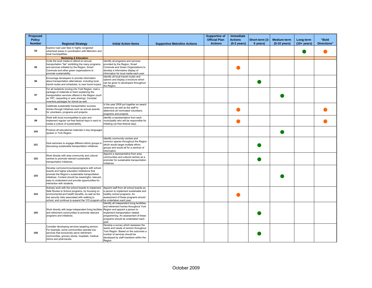| <b>Proposed</b>                |                                                                                                                                                                                                                                                                                               |                                                                                                                                                                                                                                                 |                                     | <b>Supportive of</b>                   | <b>Immediate</b>                        |                            |                                    |                             |                             |
|--------------------------------|-----------------------------------------------------------------------------------------------------------------------------------------------------------------------------------------------------------------------------------------------------------------------------------------------|-------------------------------------------------------------------------------------------------------------------------------------------------------------------------------------------------------------------------------------------------|-------------------------------------|----------------------------------------|-----------------------------------------|----------------------------|------------------------------------|-----------------------------|-----------------------------|
| <b>Policy</b><br><b>Number</b> | <b>Regional Strategy</b>                                                                                                                                                                                                                                                                      | <b>Initial Action Items</b>                                                                                                                                                                                                                     | <b>Supportive Metrolinx Actions</b> | <b>Official Plan</b><br><b>Actions</b> | <b>Actions</b><br>$(0-2 \text{ years})$ | Short-term (3-<br>5 years) | <b>Medium-term</b><br>(5-10 years) | Long-term<br>$(10 + years)$ | "Bold<br><b>Directions"</b> |
| 94                             | Explore road user fees in highly congested<br>urbanized areas in coordination with Metrolinx and<br>local municipalities.                                                                                                                                                                     |                                                                                                                                                                                                                                                 |                                     |                                        |                                         |                            |                                    |                             |                             |
|                                | <b>Marketing &amp; Education</b>                                                                                                                                                                                                                                                              |                                                                                                                                                                                                                                                 |                                     |                                        |                                         |                            |                                    |                             |                             |
| 95                             | Invite the local media to attend an annual<br>transportation "fair" exhibiting the many programs<br>and services initiated by the Region, Smart<br>Commute and other green organizations to<br>promote sustainability.                                                                        | dentify all programs and services<br>provided by the Region, Smart<br>Commute and Green Organizations to<br>develop a informative display of<br>information for local media each year.                                                          |                                     |                                        |                                         |                            |                                    |                             |                             |
| 96                             | Encourage developers to provide information<br>about transportation alternatives, including local<br>transit routes and schedules, to new home buyers.                                                                                                                                        | Identify all local transit routes and<br>options and display a brochure which<br>can be given to developers throughout<br>he Region.                                                                                                            |                                     |                                        |                                         |                            |                                    |                             |                             |
| 97                             | For all residents moving into York Region, mail a<br>package of materials to them explaining the<br>transportation services offered in the Region (such<br>as YRT, carpooling or auto sharing). Consider<br>incentive packages for transit as well.                                           |                                                                                                                                                                                                                                                 |                                     |                                        |                                         |                            |                                    |                             |                             |
| 98                             | Celebrate sustainable transportation success<br>stories through initiatives such as annual awards<br>for volunteers, programs and projects.                                                                                                                                                   | In the year 2009 put together an award<br>ceremony as well as the staff to<br>determine all nominated volunteers,<br>programs and projects.                                                                                                     |                                     |                                        |                                         |                            |                                    |                             |                             |
| 99                             | Work with local municipalities to plan and<br>implement regular car-free festival days in each to<br>create a culture of sustainability.                                                                                                                                                      | Identify a representative from each<br>municipality who will be responsible for<br>initiating car-free festival days.                                                                                                                           |                                     |                                        |                                         |                            |                                    |                             |                             |
| 100                            | Produce all educational materials in key languages<br>spoken in York Region.                                                                                                                                                                                                                  |                                                                                                                                                                                                                                                 |                                     |                                        |                                         |                            |                                    |                             |                             |
| 101                            | Host seminars to engage different ethnic groups in<br>discussing sustainable transportation initiatives.                                                                                                                                                                                      | Identify community centres and<br>common spaces throughout the Region<br>which would target mutliple ethnic<br>groups and would all for a seminar of<br>information.                                                                            |                                     |                                        |                                         |                            |                                    |                             |                             |
| 102                            | Work directly with area community and cultural<br>centres to promote relevant sustainable<br>transportation initiatives.                                                                                                                                                                      | Appoint a representative from area<br>communities and cultural centres as a<br>promoter for sustainable transportation<br>initiatives.                                                                                                          |                                     |                                        |                                         |                            |                                    |                             |                             |
| 103                            | Develop curriculum/courses/programs with school<br>boards and higher education institutions that<br>promote the Region's sustainable transportation<br>initiatives. Content should be meaningful, relevant,<br>easy to understand and provide opportunities for<br>interaction with students. |                                                                                                                                                                                                                                                 |                                     |                                        |                                         |                            |                                    |                             |                             |
| 104                            | Actively work with the school boards to implement<br>Safe Routes to School programs, by focusing on<br>environmental and health benefits, as well as the<br>low security risks associated with walking to<br>school; and continue to expand the YO! program a                                 | Appoint staff from all school boards as<br>a person to implement sustainable and<br>healthy school programs. An<br>assessment of these programs should<br>be undertaken each vear.                                                              |                                     |                                        |                                         |                            |                                    |                             |                             |
| 105                            | Work directly with large independent living facilities<br>and retirement communities to promote relevant<br>programs and initiatives.                                                                                                                                                         | dentify all independent living facililities<br>and retirement homes throughout York<br>Region and appoint a person to<br>implement transportation related<br>programming. An assessment of these<br>programs should be undertaken each<br>vear. |                                     |                                        |                                         |                            |                                    |                             |                             |
| 106                            | Consider developing services targeting seniors.<br>For example, some communities operate bus<br>services that exclusively serve retirement<br>communities, grocery stores, hospitals, medical<br>clinics and pharmacies.                                                                      | Develop a survey which assesses the<br>wants and needs of seniors throughout<br>York Region. Based on the outcomes a<br>number of services should be<br>developed by staff members within the<br>Region.                                        |                                     |                                        |                                         |                            |                                    |                             |                             |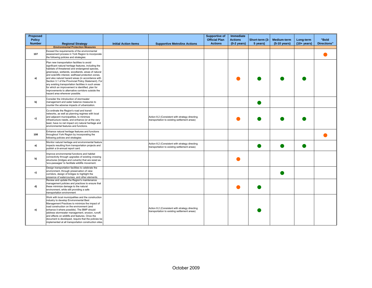| <b>Proposed</b>                |                                                                                                                                                                                                                                                                                                                                                                                                                                                                                                                                                                                  |                             |                                                                                                | <b>Supportive of</b>                   | <b>Immediate</b>                        |                            |                             |                             |                             |
|--------------------------------|----------------------------------------------------------------------------------------------------------------------------------------------------------------------------------------------------------------------------------------------------------------------------------------------------------------------------------------------------------------------------------------------------------------------------------------------------------------------------------------------------------------------------------------------------------------------------------|-----------------------------|------------------------------------------------------------------------------------------------|----------------------------------------|-----------------------------------------|----------------------------|-----------------------------|-----------------------------|-----------------------------|
| <b>Policy</b><br><b>Number</b> | <b>Regional Strategy</b>                                                                                                                                                                                                                                                                                                                                                                                                                                                                                                                                                         | <b>Initial Action Items</b> | <b>Supportive Metrolinx Actions</b>                                                            | <b>Official Plan</b><br><b>Actions</b> | <b>Actions</b><br>$(0-2 \text{ years})$ | Short-term (3-<br>5 years) | Medium-term<br>(5-10 years) | Long-term<br>$(10 + years)$ | "Bold<br><b>Directions"</b> |
|                                | <b>Environmental Protection Measures</b>                                                                                                                                                                                                                                                                                                                                                                                                                                                                                                                                         |                             |                                                                                                |                                        |                                         |                            |                             |                             |                             |
| 107                            | Exceed the requirements of the environmental<br>assessment process in York Region to incorporate<br>the following policies and strategies:                                                                                                                                                                                                                                                                                                                                                                                                                                       |                             |                                                                                                |                                        |                                         |                            |                             |                             |                             |
| a)                             | Plan new transportation facilities to avoid<br>significant natural heritage features, including the<br>habitats of threatened and endangered species,<br>greenways, wetlands, woodlands, areas of natural<br>and scientific interest, wellhead protection zones,<br>and also natural hazard areas (in accordance with<br>Section 3.1 of the Provincial Policy Statement). For<br>any existing transportation facilities in such areas<br>for which an improvement is identified, plan for<br>improvements to alternative corridors outside the<br>hazard area wherever possible. |                             |                                                                                                |                                        |                                         |                            |                             |                             |                             |
| b)                             | Consider the introduction of stormwater<br>management and water balance measures to<br>counter the adverse impacts of urbanization.                                                                                                                                                                                                                                                                                                                                                                                                                                              |                             |                                                                                                |                                        |                                         |                            |                             |                             |                             |
| c)                             | Co-ordinate the Region's road and transit<br>networks, as well as planning regimes with local<br>and adjacent municipalities, to minimize<br>infrastructure needs, and enhance (or at the very<br>least, have no net impact on) natural heritage and<br>environmental features and functions.                                                                                                                                                                                                                                                                                    |                             | Action 8.2 (Consistent with strategy directing<br>transportation to existing settlement areas) |                                        |                                         |                            |                             |                             |                             |
| 108                            | Enhance natural heritage features and functions<br>throughout York Region by incorporating the<br>following policies and strategies:                                                                                                                                                                                                                                                                                                                                                                                                                                             |                             |                                                                                                |                                        |                                         |                            |                             |                             |                             |
| a)                             | Monitor natural heritage and environmental feature<br>impacts resulting from transportation projects and<br>publish a bi-annual report card.                                                                                                                                                                                                                                                                                                                                                                                                                                     |                             | Action 8.2 (Consistent with strategy directing<br>transportation to existing settlement areas) |                                        |                                         |                            |                             |                             |                             |
| b)                             | Improve environmental functions and habitat<br>connectivity through upgrades of existing crossing<br>structures (bridges and culverts) that are sized as<br>'eco-passages' to facilitate wildlife movement.                                                                                                                                                                                                                                                                                                                                                                      |                             |                                                                                                |                                        |                                         |                            |                             |                             |                             |
| c)                             | Design transportation facilities to celebrate the<br>environment, through preservation of view<br>corridors, design of bridges to highlight the<br>presence of watercourses, and other elements.                                                                                                                                                                                                                                                                                                                                                                                 |                             |                                                                                                |                                        |                                         |                            |                             |                             |                             |
| d)                             | Review and update the Region's maintenance<br>management policies and practices to ensure that<br>these minimize damage to the natural<br>environment, while still providing a safe<br>transportation environment                                                                                                                                                                                                                                                                                                                                                                |                             |                                                                                                |                                        |                                         |                            |                             |                             |                             |
| e)                             | Work with local municipalities and the construction<br>industry to develop Environmental Best<br>Management Practices to minimize the impact of<br>road construction on the environment (and<br>enhance it where possible). The BMP should<br>address stormwater management, erosion, runoff,<br>and effects on wildlife and features. Once the<br>document is developed, require that the policies be<br>implemented at all transportation construction sites.                                                                                                                  |                             | Action 8.2 (Consistent with strategy directing<br>transportation to existing settlement areas) |                                        |                                         |                            |                             |                             |                             |